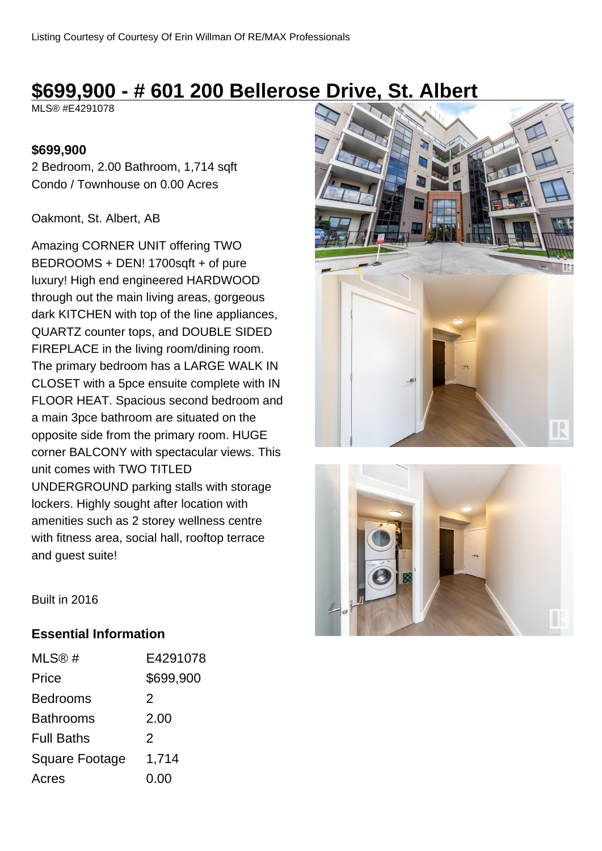# **\$699,900 - # 601 200 Bellerose Drive, St. Albert**

MLS® #E4291078

#### **\$699,900**

2 Bedroom, 2.00 Bathroom, 1,714 sqft Condo / Townhouse on 0.00 Acres

#### Oakmont, St. Albert, AB

Amazing CORNER UNIT offering TWO BEDROOMS + DEN! 1700sqft + of pure luxury! High end engineered HARDWOOD through out the main living areas, gorgeous dark KITCHEN with top of the line appliances, QUARTZ counter tops, and DOUBLE SIDED FIREPLACE in the living room/dining room. The primary bedroom has a LARGE WALK IN CLOSET with a 5pce ensuite complete with IN FLOOR HEAT. Spacious second bedroom and a main 3pce bathroom are situated on the opposite side from the primary room. HUGE corner BALCONY with spectacular views. This unit comes with TWO TITLED UNDERGROUND parking stalls with storage lockers. Highly sought after location with amenities such as 2 storey wellness centre with fitness area, social hall, rooftop terrace and guest suite!





Built in 2016

#### **Essential Information**

| MLS@#                 | E4291078      |
|-----------------------|---------------|
| Price                 | \$699,900     |
| <b>Bedrooms</b>       | 2             |
| <b>Bathrooms</b>      | 2.00          |
| <b>Full Baths</b>     | $\mathcal{P}$ |
| <b>Square Footage</b> | 1,714         |
| Acres                 | 0.00          |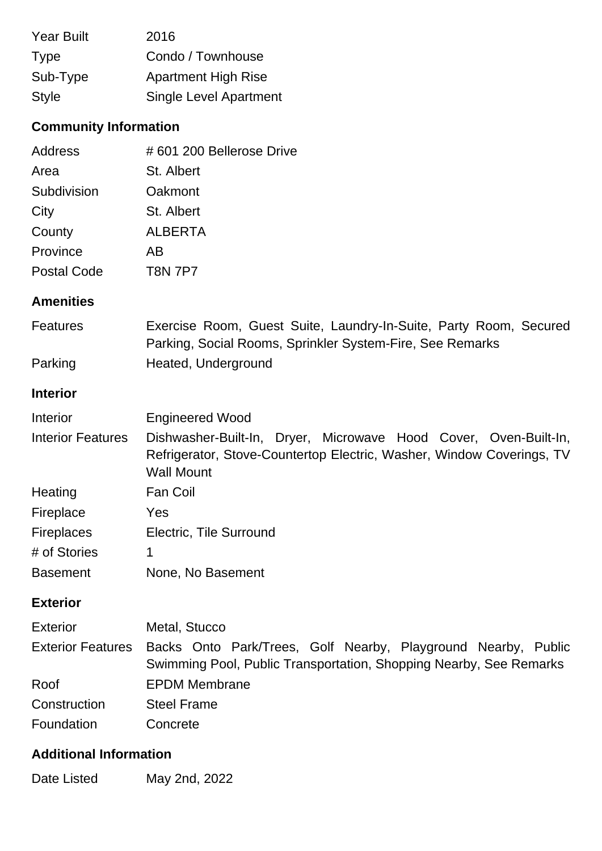| <b>Year Built</b> | 2016                          |
|-------------------|-------------------------------|
| <b>Type</b>       | Condo / Townhouse             |
| Sub-Type          | <b>Apartment High Rise</b>    |
| <b>Style</b>      | <b>Single Level Apartment</b> |

## **Community Information**

| Address            | #601 200 Bellerose Drive |
|--------------------|--------------------------|
| Area               | St. Albert               |
| Subdivision        | Oakmont                  |
| City               | St. Albert               |
| County             | <b>ALBERTA</b>           |
| Province           | AВ                       |
| <b>Postal Code</b> | <b>T8N 7P7</b>           |

### **Amenities**

| <b>Features</b> | Exercise Room, Guest Suite, Laundry-In-Suite, Party Room, Secured |
|-----------------|-------------------------------------------------------------------|
|                 | Parking, Social Rooms, Sprinkler System-Fire, See Remarks         |
| Parking         | Heated, Underground                                               |

#### **Interior**

| Interior                 | <b>Engineered Wood</b>                                                                                                                                         |
|--------------------------|----------------------------------------------------------------------------------------------------------------------------------------------------------------|
| <b>Interior Features</b> | Dishwasher-Built-In, Dryer, Microwave Hood Cover, Oven-Built-In,<br>Refrigerator, Stove-Countertop Electric, Washer, Window Coverings, TV<br><b>Wall Mount</b> |
| Heating                  | Fan Coil                                                                                                                                                       |
| Fireplace                | Yes                                                                                                                                                            |
| <b>Fireplaces</b>        | Electric, Tile Surround                                                                                                                                        |
| # of Stories             | 1                                                                                                                                                              |
| <b>Basement</b>          | None, No Basement                                                                                                                                              |

## **Exterior**

| <b>Exterior</b> | Metal, Stucco                                                                                                                                         |
|-----------------|-------------------------------------------------------------------------------------------------------------------------------------------------------|
|                 | Exterior Features Backs Onto Park/Trees, Golf Nearby, Playground Nearby, Public<br>Swimming Pool, Public Transportation, Shopping Nearby, See Remarks |
| Roof            | <b>EPDM Membrane</b>                                                                                                                                  |
| Construction    | <b>Steel Frame</b>                                                                                                                                    |
| Foundation      | Concrete                                                                                                                                              |

## **Additional Information**

Date Listed May 2nd, 2022